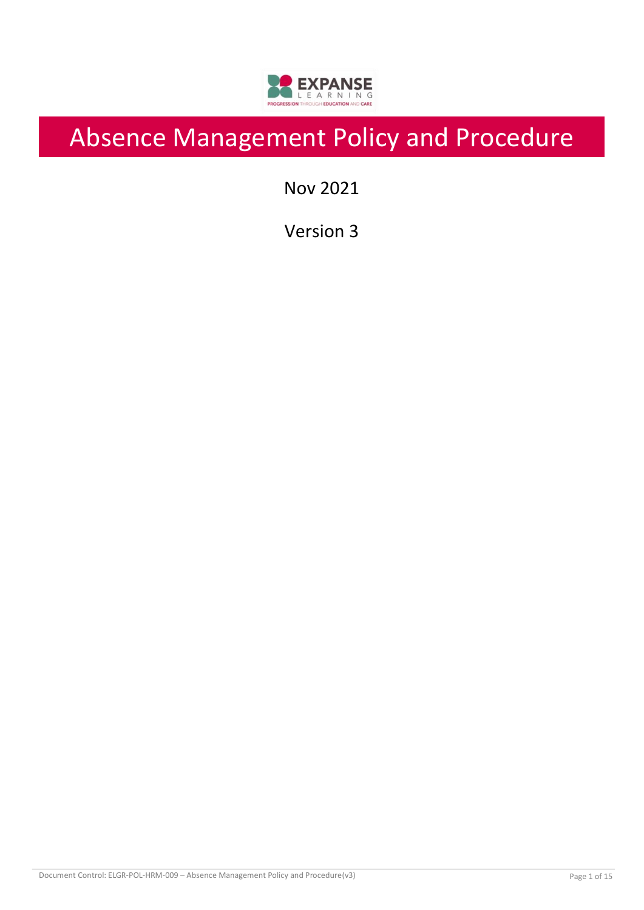

# Absence Management Policy and Procedure

Nov 2021

Version 3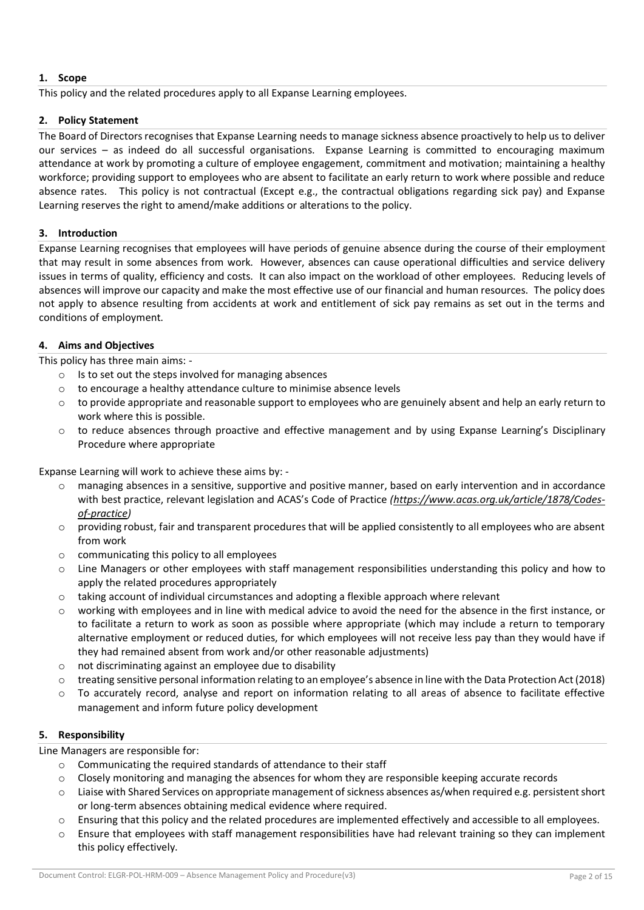# **1. Scope**

This policy and the related procedures apply to all Expanse Learning employees.

# **2. Policy Statement**

The Board of Directors recognises that Expanse Learning needs to manage sickness absence proactively to help us to deliver our services – as indeed do all successful organisations. Expanse Learning is committed to encouraging maximum attendance at work by promoting a culture of employee engagement, commitment and motivation; maintaining a healthy workforce; providing support to employees who are absent to facilitate an early return to work where possible and reduce absence rates. This policy is not contractual (Except e.g., the contractual obligations regarding sick pay) and Expanse Learning reserves the right to amend/make additions or alterations to the policy.

# **3. Introduction**

Expanse Learning recognises that employees will have periods of genuine absence during the course of their employment that may result in some absences from work. However, absences can cause operational difficulties and service delivery issues in terms of quality, efficiency and costs. It can also impact on the workload of other employees. Reducing levels of absences will improve our capacity and make the most effective use of our financial and human resources. The policy does not apply to absence resulting from accidents at work and entitlement of sick pay remains as set out in the terms and conditions of employment.

# **4. Aims and Objectives**

This policy has three main aims: -

- $\circ$  Is to set out the steps involved for managing absences
- o to encourage a healthy attendance culture to minimise absence levels
- to provide appropriate and reasonable support to employees who are genuinely absent and help an early return to work where this is possible.
- $\circ$  to reduce absences through proactive and effective management and by using Expanse Learning's Disciplinary Procedure where appropriate

Expanse Learning will work to achieve these aims by: -

- o managing absences in a sensitive, supportive and positive manner, based on early intervention and in accordance with best practice, relevant legislation and ACAS's Code of Practice *[\(https://www.acas.org.uk/article/1878/Codes](https://www.acas.org.uk/article/1878/Codes-of-practice)[of-practice\)](https://www.acas.org.uk/article/1878/Codes-of-practice)*
- $\circ$  providing robust, fair and transparent procedures that will be applied consistently to all employees who are absent from work
- $\circ$  communicating this policy to all employees
- o Line Managers or other employees with staff management responsibilities understanding this policy and how to apply the related procedures appropriately
- o taking account of individual circumstances and adopting a flexible approach where relevant
- o working with employees and in line with medical advice to avoid the need for the absence in the first instance, or to facilitate a return to work as soon as possible where appropriate (which may include a return to temporary alternative employment or reduced duties, for which employees will not receive less pay than they would have if they had remained absent from work and/or other reasonable adjustments)
- o not discriminating against an employee due to disability
- o treating sensitive personal information relating to an employee's absence in line with the Data Protection Act (2018)
- $\circ$  To accurately record, analyse and report on information relating to all areas of absence to facilitate effective management and inform future policy development

# **5. Responsibility**

Line Managers are responsible for:

- o Communicating the required standards of attendance to their staff
- $\circ$  Closely monitoring and managing the absences for whom they are responsible keeping accurate records
- o Liaise with Shared Services on appropriate management of sickness absences as/when required e.g. persistent short or long-term absences obtaining medical evidence where required.
- o Ensuring that this policy and the related procedures are implemented effectively and accessible to all employees.
- $\circ$  Ensure that employees with staff management responsibilities have had relevant training so they can implement this policy effectively.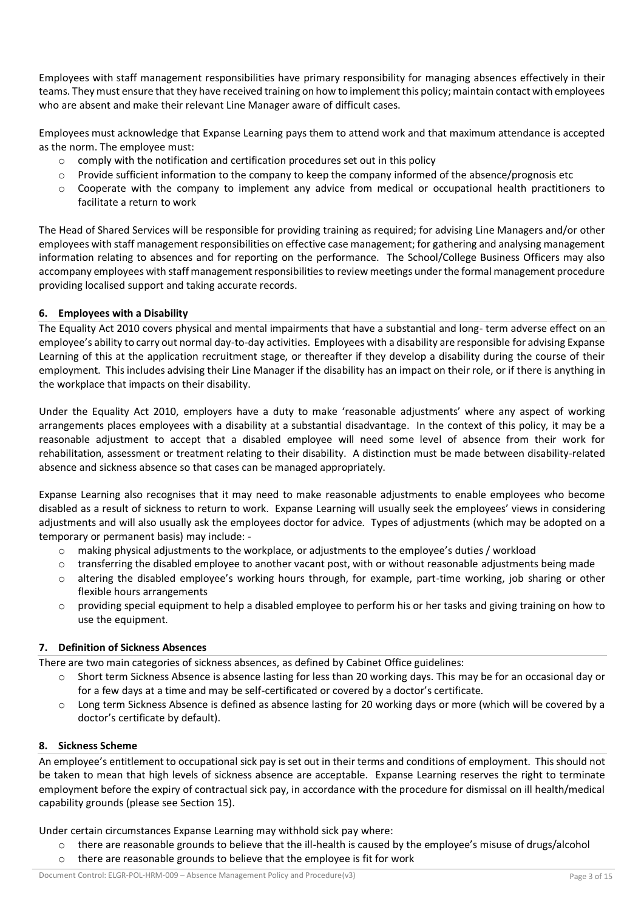Employees with staff management responsibilities have primary responsibility for managing absences effectively in their teams. They must ensure that they have received training on how to implement this policy; maintain contact with employees who are absent and make their relevant Line Manager aware of difficult cases.

Employees must acknowledge that Expanse Learning pays them to attend work and that maximum attendance is accepted as the norm. The employee must:

- $\circ$  comply with the notification and certification procedures set out in this policy
- $\circ$  Provide sufficient information to the company to keep the company informed of the absence/prognosis etc
- $\circ$  Cooperate with the company to implement any advice from medical or occupational health practitioners to facilitate a return to work

The Head of Shared Services will be responsible for providing training as required; for advising Line Managers and/or other employees with staff management responsibilities on effective case management; for gathering and analysing management information relating to absences and for reporting on the performance. The School/College Business Officers may also accompany employees with staff management responsibilities to review meetings under the formal management procedure providing localised support and taking accurate records.

# **6. Employees with a Disability**

The Equality Act 2010 covers physical and mental impairments that have a substantial and long- term adverse effect on an employee's ability to carry out normal day-to-day activities. Employees with a disability are responsible for advising Expanse Learning of this at the application recruitment stage, or thereafter if they develop a disability during the course of their employment. This includes advising their Line Manager if the disability has an impact on their role, or if there is anything in the workplace that impacts on their disability.

Under the Equality Act 2010, employers have a duty to make 'reasonable adjustments' where any aspect of working arrangements places employees with a disability at a substantial disadvantage. In the context of this policy, it may be a reasonable adjustment to accept that a disabled employee will need some level of absence from their work for rehabilitation, assessment or treatment relating to their disability. A distinction must be made between disability-related absence and sickness absence so that cases can be managed appropriately.

Expanse Learning also recognises that it may need to make reasonable adjustments to enable employees who become disabled as a result of sickness to return to work. Expanse Learning will usually seek the employees' views in considering adjustments and will also usually ask the employees doctor for advice. Types of adjustments (which may be adopted on a temporary or permanent basis) may include: -

- o making physical adjustments to the workplace, or adjustments to the employee's duties / workload
- $\circ$  transferring the disabled employee to another vacant post, with or without reasonable adjustments being made
- o altering the disabled employee's working hours through, for example, part-time working, job sharing or other flexible hours arrangements
- $\circ$  providing special equipment to help a disabled employee to perform his or her tasks and giving training on how to use the equipment.

# **7. Definition of Sickness Absences**

There are two main categories of sickness absences, as defined by Cabinet Office guidelines:

- o Short term Sickness Absence is absence lasting for less than 20 working days. This may be for an occasional day or for a few days at a time and may be self-certificated or covered by a doctor's certificate.
- o Long term Sickness Absence is defined as absence lasting for 20 working days or more (which will be covered by a doctor's certificate by default).

# **8. Sickness Scheme**

An employee's entitlement to occupational sick pay is set out in their terms and conditions of employment. This should not be taken to mean that high levels of sickness absence are acceptable. Expanse Learning reserves the right to terminate employment before the expiry of contractual sick pay, in accordance with the procedure for dismissal on ill health/medical capability grounds (please see Section 15).

Under certain circumstances Expanse Learning may withhold sick pay where:

- o there are reasonable grounds to believe that the ill-health is caused by the employee's misuse of drugs/alcohol
- o there are reasonable grounds to believe that the employee is fit for work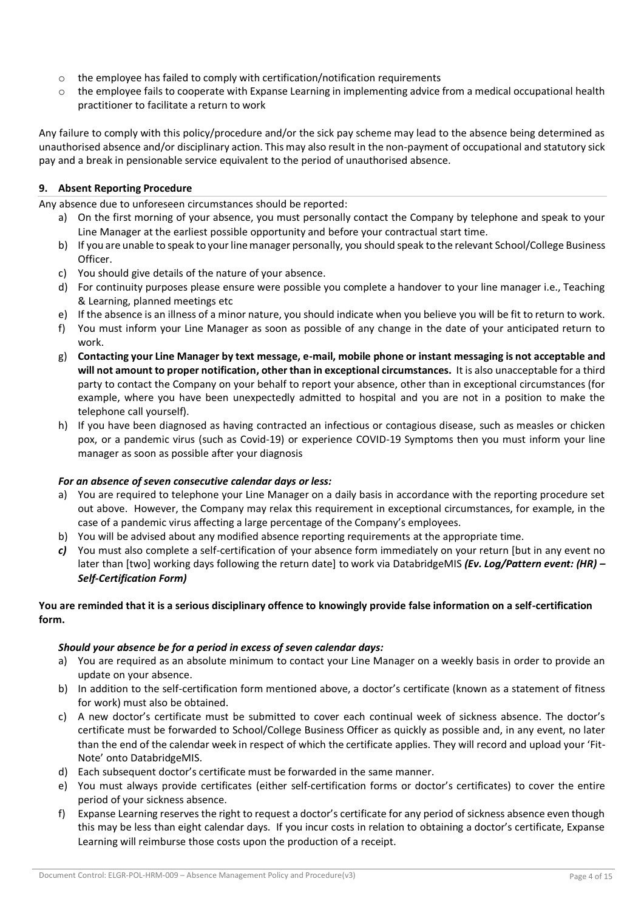- $\circ$  the employee has failed to comply with certification/notification requirements
- $\circ$  the employee fails to cooperate with Expanse Learning in implementing advice from a medical occupational health practitioner to facilitate a return to work

Any failure to comply with this policy/procedure and/or the sick pay scheme may lead to the absence being determined as unauthorised absence and/or disciplinary action. This may also result in the non-payment of occupational and statutory sick pay and a break in pensionable service equivalent to the period of unauthorised absence.

# **9. Absent Reporting Procedure**

Any absence due to unforeseen circumstances should be reported:

- a) On the first morning of your absence, you must personally contact the Company by telephone and speak to your Line Manager at the earliest possible opportunity and before your contractual start time.
- b) If you are unable to speak to your line manager personally, you should speak to the relevant School/College Business Officer.
- c) You should give details of the nature of your absence.
- d) For continuity purposes please ensure were possible you complete a handover to your line manager i.e., Teaching & Learning, planned meetings etc
- e) If the absence is an illness of a minor nature, you should indicate when you believe you will be fit to return to work.
- f) You must inform your Line Manager as soon as possible of any change in the date of your anticipated return to work.
- g) **Contacting your Line Manager by text message, e-mail, mobile phone or instant messaging is not acceptable and will not amount to proper notification, other than in exceptional circumstances.** It is also unacceptable for a third party to contact the Company on your behalf to report your absence, other than in exceptional circumstances (for example, where you have been unexpectedly admitted to hospital and you are not in a position to make the telephone call yourself).
- h) If you have been diagnosed as having contracted an infectious or contagious disease, such as measles or chicken pox, or a pandemic virus (such as Covid-19) or experience COVID-19 Symptoms then you must inform your line manager as soon as possible after your diagnosis

# *For an absence of seven consecutive calendar days or less:*

- a) You are required to telephone your Line Manager on a daily basis in accordance with the reporting procedure set out above. However, the Company may relax this requirement in exceptional circumstances, for example, in the case of a pandemic virus affecting a large percentage of the Company's employees.
- b) You will be advised about any modified absence reporting requirements at the appropriate time.
- *c)* You must also complete a self-certification of your absence form immediately on your return [but in any event no later than [two] working days following the return date] to work via DatabridgeMIS *(Ev. Log/Pattern event: (HR) – Self-Certification Form)*

# **You are reminded that it is a serious disciplinary offence to knowingly provide false information on a self-certification form.**

# *Should your absence be for a period in excess of seven calendar days:*

- a) You are required as an absolute minimum to contact your Line Manager on a weekly basis in order to provide an update on your absence.
- b) In addition to the self-certification form mentioned above, a doctor's certificate (known as a statement of fitness for work) must also be obtained.
- c) A new doctor's certificate must be submitted to cover each continual week of sickness absence. The doctor's certificate must be forwarded to School/College Business Officer as quickly as possible and, in any event, no later than the end of the calendar week in respect of which the certificate applies. They will record and upload your 'Fit-Note' onto DatabridgeMIS.
- d) Each subsequent doctor's certificate must be forwarded in the same manner.
- e) You must always provide certificates (either self-certification forms or doctor's certificates) to cover the entire period of your sickness absence.
- f) Expanse Learning reserves the right to request a doctor's certificate for any period of sickness absence even though this may be less than eight calendar days. If you incur costs in relation to obtaining a doctor's certificate, Expanse Learning will reimburse those costs upon the production of a receipt.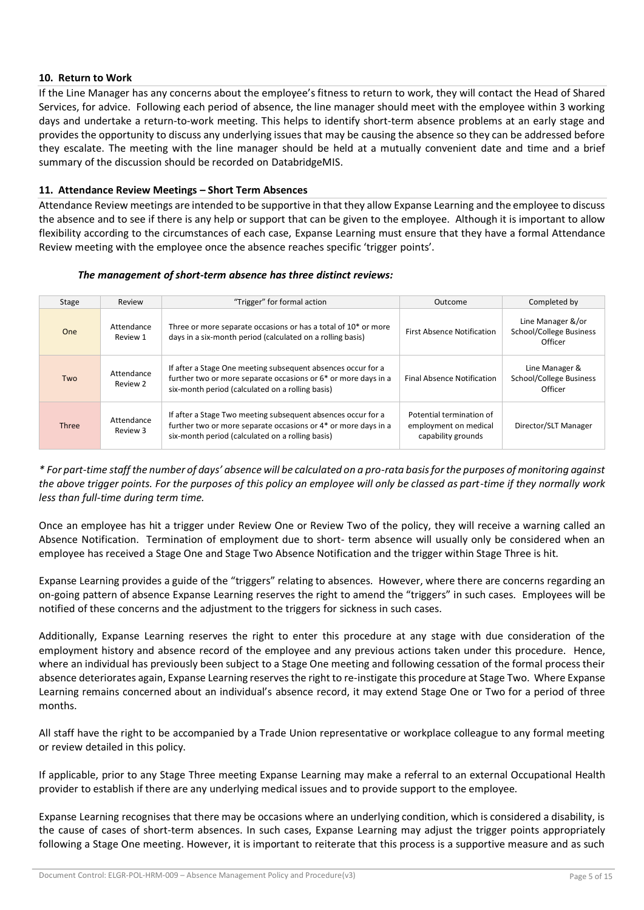# **10. Return to Work**

If the Line Manager has any concerns about the employee's fitness to return to work, they will contact the Head of Shared Services, for advice. Following each period of absence, the line manager should meet with the employee within 3 working days and undertake a return-to-work meeting. This helps to identify short-term absence problems at an early stage and provides the opportunity to discuss any underlying issues that may be causing the absence so they can be addressed before they escalate. The meeting with the line manager should be held at a mutually convenient date and time and a brief summary of the discussion should be recorded on DatabridgeMIS.

## **11. Attendance Review Meetings – Short Term Absences**

Attendance Review meetings are intended to be supportive in that they allow Expanse Learning and the employee to discuss the absence and to see if there is any help or support that can be given to the employee. Although it is important to allow flexibility according to the circumstances of each case, Expanse Learning must ensure that they have a formal Attendance Review meeting with the employee once the absence reaches specific 'trigger points'.

#### *The management of short-term absence has three distinct reviews:*

| Stage        | Review                 | "Trigger" for formal action                                                                                                                                                        | Outcome                                                                 | Completed by                                            |
|--------------|------------------------|------------------------------------------------------------------------------------------------------------------------------------------------------------------------------------|-------------------------------------------------------------------------|---------------------------------------------------------|
| <b>One</b>   | Attendance<br>Review 1 | Three or more separate occasions or has a total of 10 <sup>*</sup> or more<br>days in a six-month period (calculated on a rolling basis)                                           | <b>First Absence Notification</b>                                       | Line Manager &/or<br>School/College Business<br>Officer |
| Two          | Attendance<br>Review 2 | If after a Stage One meeting subsequent absences occur for a<br>further two or more separate occasions or 6* or more days in a<br>six-month period (calculated on a rolling basis) | <b>Final Absence Notification</b>                                       | Line Manager &<br>School/College Business<br>Officer    |
| <b>Three</b> | Attendance<br>Review 3 | If after a Stage Two meeting subsequent absences occur for a<br>further two or more separate occasions or 4* or more days in a<br>six-month period (calculated on a rolling basis) | Potential termination of<br>employment on medical<br>capability grounds | Director/SLT Manager                                    |

*\* For part-time staff the number of days' absence will be calculated on a pro-rata basis for the purposes of monitoring against the above trigger points. For the purposes of this policy an employee will only be classed as part-time if they normally work less than full-time during term time.* 

Once an employee has hit a trigger under Review One or Review Two of the policy, they will receive a warning called an Absence Notification. Termination of employment due to short- term absence will usually only be considered when an employee has received a Stage One and Stage Two Absence Notification and the trigger within Stage Three is hit.

Expanse Learning provides a guide of the "triggers" relating to absences. However, where there are concerns regarding an on-going pattern of absence Expanse Learning reserves the right to amend the "triggers" in such cases. Employees will be notified of these concerns and the adjustment to the triggers for sickness in such cases.

Additionally, Expanse Learning reserves the right to enter this procedure at any stage with due consideration of the employment history and absence record of the employee and any previous actions taken under this procedure. Hence, where an individual has previously been subject to a Stage One meeting and following cessation of the formal process their absence deteriorates again, Expanse Learning reserves the right to re-instigate this procedure at Stage Two. Where Expanse Learning remains concerned about an individual's absence record, it may extend Stage One or Two for a period of three months.

All staff have the right to be accompanied by a Trade Union representative or workplace colleague to any formal meeting or review detailed in this policy.

If applicable, prior to any Stage Three meeting Expanse Learning may make a referral to an external Occupational Health provider to establish if there are any underlying medical issues and to provide support to the employee.

Expanse Learning recognises that there may be occasions where an underlying condition, which is considered a disability, is the cause of cases of short-term absences. In such cases, Expanse Learning may adjust the trigger points appropriately following a Stage One meeting. However, it is important to reiterate that this process is a supportive measure and as such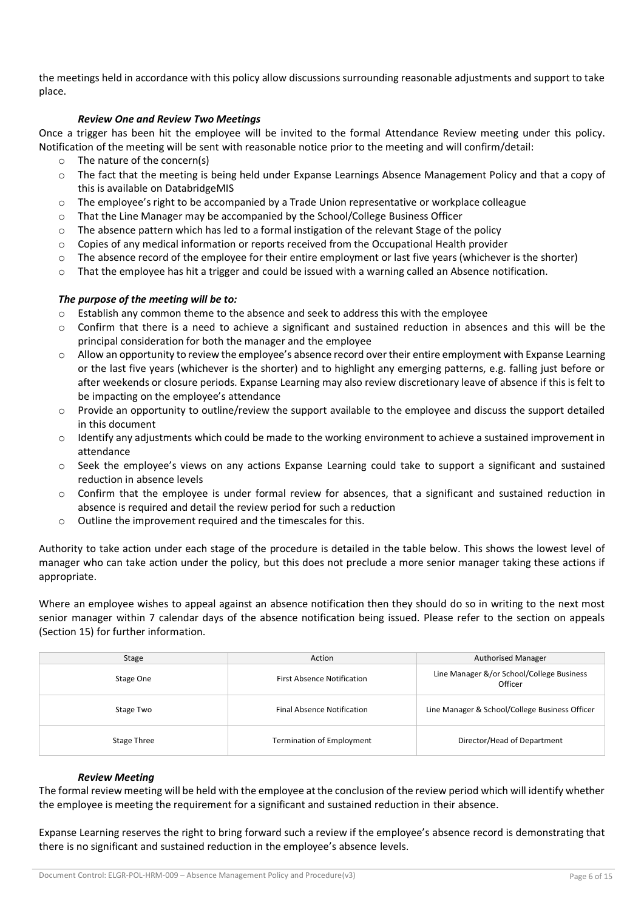the meetings held in accordance with this policy allow discussions surrounding reasonable adjustments and support to take place.

## *Review One and Review Two Meetings*

Once a trigger has been hit the employee will be invited to the formal Attendance Review meeting under this policy. Notification of the meeting will be sent with reasonable notice prior to the meeting and will confirm/detail:

- o The nature of the concern(s)
- o The fact that the meeting is being held under Expanse Learnings Absence Management Policy and that a copy of this is available on DatabridgeMIS
- o The employee's right to be accompanied by a Trade Union representative or workplace colleague
- o That the Line Manager may be accompanied by the School/College Business Officer
- $\circ$  The absence pattern which has led to a formal instigation of the relevant Stage of the policy
- $\circ$  Copies of any medical information or reports received from the Occupational Health provider
- $\circ$  The absence record of the employee for their entire employment or last five years (whichever is the shorter)
- o That the employee has hit a trigger and could be issued with a warning called an Absence notification.

# *The purpose of the meeting will be to:*

- $\circ$  Establish any common theme to the absence and seek to address this with the employee
- $\circ$  Confirm that there is a need to achieve a significant and sustained reduction in absences and this will be the principal consideration for both the manager and the employee
- $\circ$  Allow an opportunity to review the employee's absence record over their entire employment with Expanse Learning or the last five years (whichever is the shorter) and to highlight any emerging patterns, e.g. falling just before or after weekends or closure periods. Expanse Learning may also review discretionary leave of absence if this is felt to be impacting on the employee's attendance
- $\circ$  Provide an opportunity to outline/review the support available to the employee and discuss the support detailed in this document
- o Identify any adjustments which could be made to the working environment to achieve a sustained improvement in attendance
- o Seek the employee's views on any actions Expanse Learning could take to support a significant and sustained reduction in absence levels
- $\circ$  Confirm that the employee is under formal review for absences, that a significant and sustained reduction in absence is required and detail the review period for such a reduction
- o Outline the improvement required and the timescales for this.

Authority to take action under each stage of the procedure is detailed in the table below. This shows the lowest level of manager who can take action under the policy, but this does not preclude a more senior manager taking these actions if appropriate.

Where an employee wishes to appeal against an absence notification then they should do so in writing to the next most senior manager within 7 calendar days of the absence notification being issued. Please refer to the section on appeals (Section 15) for further information.

| Stage       | Action<br><b>Authorised Manager</b> |                                                      |
|-------------|-------------------------------------|------------------------------------------------------|
| Stage One   | <b>First Absence Notification</b>   | Line Manager &/or School/College Business<br>Officer |
| Stage Two   | <b>Final Absence Notification</b>   | Line Manager & School/College Business Officer       |
| Stage Three | <b>Termination of Employment</b>    | Director/Head of Department                          |

#### *Review Meeting*

The formal review meeting will be held with the employee at the conclusion of the review period which will identify whether the employee is meeting the requirement for a significant and sustained reduction in their absence.

Expanse Learning reserves the right to bring forward such a review if the employee's absence record is demonstrating that there is no significant and sustained reduction in the employee's absence levels.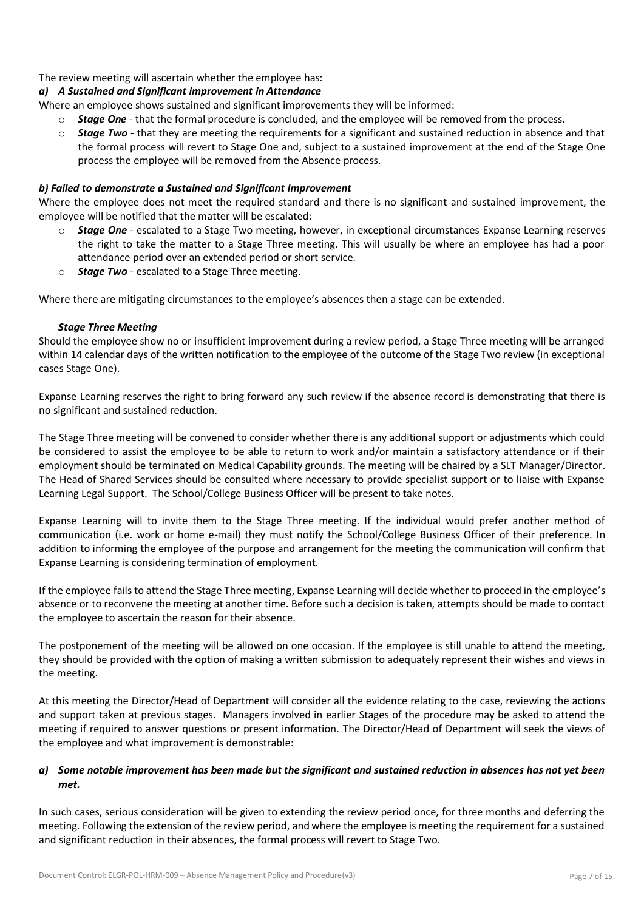# The review meeting will ascertain whether the employee has:

# *a) A Sustained and Significant improvement in Attendance*

Where an employee shows sustained and significant improvements they will be informed:

- **Stage One** that the formal procedure is concluded, and the employee will be removed from the process.
- o *Stage Two* that they are meeting the requirements for a significant and sustained reduction in absence and that the formal process will revert to Stage One and, subject to a sustained improvement at the end of the Stage One process the employee will be removed from the Absence process.

## *b) Failed to demonstrate a Sustained and Significant Improvement*

Where the employee does not meet the required standard and there is no significant and sustained improvement, the employee will be notified that the matter will be escalated:

- o *Stage One* escalated to a Stage Two meeting, however, in exceptional circumstances Expanse Learning reserves the right to take the matter to a Stage Three meeting. This will usually be where an employee has had a poor attendance period over an extended period or short service.
- o *Stage Two* escalated to a Stage Three meeting.

Where there are mitigating circumstances to the employee's absences then a stage can be extended.

## *Stage Three Meeting*

Should the employee show no or insufficient improvement during a review period, a Stage Three meeting will be arranged within 14 calendar days of the written notification to the employee of the outcome of the Stage Two review (in exceptional cases Stage One).

Expanse Learning reserves the right to bring forward any such review if the absence record is demonstrating that there is no significant and sustained reduction.

The Stage Three meeting will be convened to consider whether there is any additional support or adjustments which could be considered to assist the employee to be able to return to work and/or maintain a satisfactory attendance or if their employment should be terminated on Medical Capability grounds. The meeting will be chaired by a SLT Manager/Director. The Head of Shared Services should be consulted where necessary to provide specialist support or to liaise with Expanse Learning Legal Support. The School/College Business Officer will be present to take notes.

Expanse Learning will to invite them to the Stage Three meeting. If the individual would prefer another method of communication (i.e. work or home e-mail) they must notify the School/College Business Officer of their preference. In addition to informing the employee of the purpose and arrangement for the meeting the communication will confirm that Expanse Learning is considering termination of employment.

If the employee fails to attend the Stage Three meeting, Expanse Learning will decide whether to proceed in the employee's absence or to reconvene the meeting at another time. Before such a decision is taken, attempts should be made to contact the employee to ascertain the reason for their absence.

The postponement of the meeting will be allowed on one occasion. If the employee is still unable to attend the meeting, they should be provided with the option of making a written submission to adequately represent their wishes and views in the meeting.

At this meeting the Director/Head of Department will consider all the evidence relating to the case, reviewing the actions and support taken at previous stages. Managers involved in earlier Stages of the procedure may be asked to attend the meeting if required to answer questions or present information. The Director/Head of Department will seek the views of the employee and what improvement is demonstrable:

# *a) Some notable improvement has been made but the significant and sustained reduction in absences has not yet been met.*

In such cases, serious consideration will be given to extending the review period once, for three months and deferring the meeting. Following the extension of the review period, and where the employee is meeting the requirement for a sustained and significant reduction in their absences, the formal process will revert to Stage Two.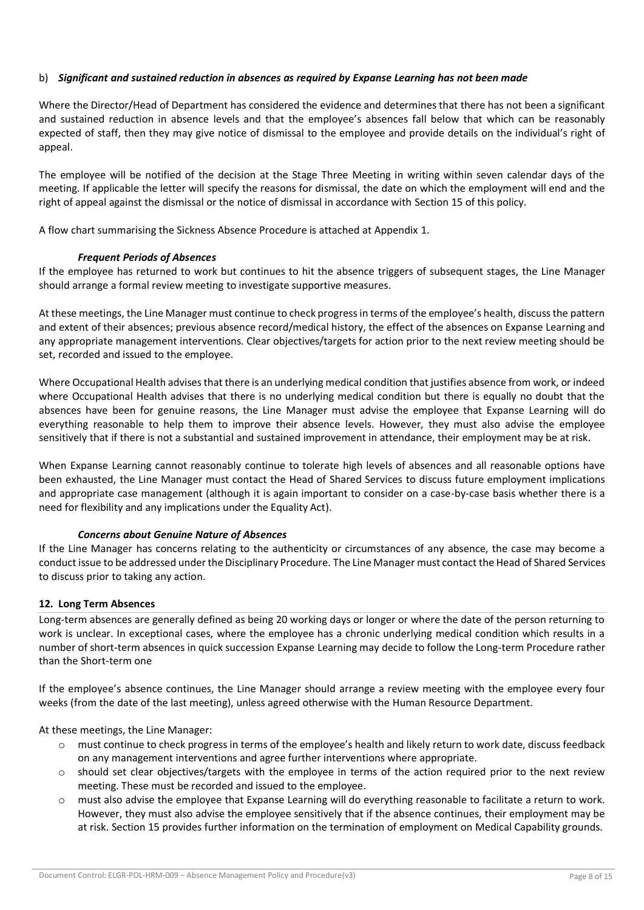## b) *Significant and sustained reduction in absences as required by Expanse Learning has not been made*

Where the Director/Head of Department has considered the evidence and determines that there has not been a significant and sustained reduction in absence levels and that the employee's absences fall below that which can be reasonably expected of staff, then they may give notice of dismissal to the employee and provide details on the individual's right of appeal.

The employee will be notified of the decision at the Stage Three Meeting in writing within seven calendar days of the meeting. If applicable the letter will specify the reasons for dismissal, the date on which the employment will end and the right of appeal against the dismissal or the notice of dismissal in accordance with Section 15 of this policy.

A flow chart summarising the Sickness Absence Procedure is attached at Appendix 1.

## *Frequent Periods of Absences*

If the employee has returned to work but continues to hit the absence triggers of subsequent stages, the Line Manager should arrange a formal review meeting to investigate supportive measures.

At these meetings, the Line Manager must continue to check progress in terms of the employee's health, discuss the pattern and extent of their absences; previous absence record/medical history, the effect of the absences on Expanse Learning and any appropriate management interventions. Clear objectives/targets for action prior to the next review meeting should be set, recorded and issued to the employee.

Where Occupational Health advises that there is an underlying medical condition that justifies absence from work, or indeed where Occupational Health advises that there is no underlying medical condition but there is equally no doubt that the absences have been for genuine reasons, the Line Manager must advise the employee that Expanse Learning will do everything reasonable to help them to improve their absence levels. However, they must also advise the employee sensitively that if there is not a substantial and sustained improvement in attendance, their employment may be at risk.

When Expanse Learning cannot reasonably continue to tolerate high levels of absences and all reasonable options have been exhausted, the Line Manager must contact the Head of Shared Services to discuss future employment implications and appropriate case management (although it is again important to consider on a case-by-case basis whether there is a need for flexibility and any implications under the Equality Act).

#### *Concerns about Genuine Nature of Absences*

If the Line Manager has concerns relating to the authenticity or circumstances of any absence, the case may become a conduct issue to be addressed under the Disciplinary Procedure. The Line Manager must contact the Head of Shared Services to discuss prior to taking any action.

#### **12. Long Term Absences**

Long-term absences are generally defined as being 20 working days or longer or where the date of the person returning to work is unclear. In exceptional cases, where the employee has a chronic underlying medical condition which results in a number of short-term absences in quick succession Expanse Learning may decide to follow the Long-term Procedure rather than the Short-term one

If the employee's absence continues, the Line Manager should arrange a review meeting with the employee every four weeks (from the date of the last meeting), unless agreed otherwise with the Human Resource Department.

At these meetings, the Line Manager:

- o must continue to check progress in terms of the employee's health and likely return to work date, discuss feedback on any management interventions and agree further interventions where appropriate.
- o should set clear objectives/targets with the employee in terms of the action required prior to the next review meeting. These must be recorded and issued to the employee.
- o must also advise the employee that Expanse Learning will do everything reasonable to facilitate a return to work. However, they must also advise the employee sensitively that if the absence continues, their employment may be at risk. Section 15 provides further information on the termination of employment on Medical Capability grounds.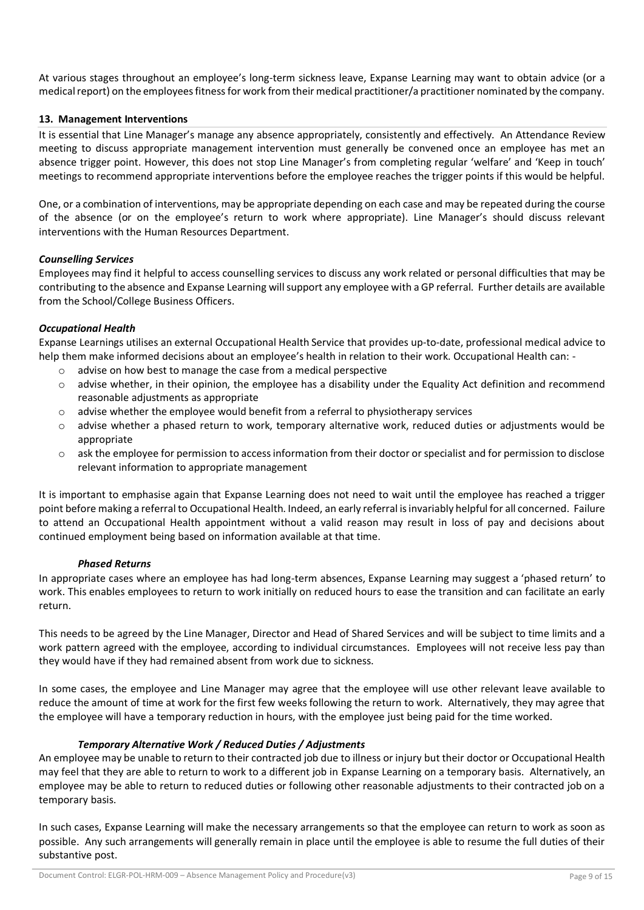At various stages throughout an employee's long-term sickness leave, Expanse Learning may want to obtain advice (or a medical report) on the employees fitness for work from their medical practitioner/a practitioner nominated by the company.

## **13. Management Interventions**

It is essential that Line Manager's manage any absence appropriately, consistently and effectively. An Attendance Review meeting to discuss appropriate management intervention must generally be convened once an employee has met an absence trigger point. However, this does not stop Line Manager's from completing regular 'welfare' and 'Keep in touch' meetings to recommend appropriate interventions before the employee reaches the trigger points if this would be helpful.

One, or a combination of interventions, may be appropriate depending on each case and may be repeated during the course of the absence (or on the employee's return to work where appropriate). Line Manager's should discuss relevant interventions with the Human Resources Department.

## *Counselling Services*

Employees may find it helpful to access counselling services to discuss any work related or personal difficulties that may be contributing to the absence and Expanse Learning will support any employee with a GP referral. Further details are available from the School/College Business Officers.

## *Occupational Health*

Expanse Learnings utilises an external Occupational Health Service that provides up-to-date, professional medical advice to help them make informed decisions about an employee's health in relation to their work. Occupational Health can: -

- o advise on how best to manage the case from a medical perspective
- advise whether, in their opinion, the employee has a disability under the Equality Act definition and recommend reasonable adjustments as appropriate
- $\circ$  advise whether the employee would benefit from a referral to physiotherapy services
- o advise whether a phased return to work, temporary alternative work, reduced duties or adjustments would be appropriate
- o ask the employee for permission to access information from their doctor or specialist and for permission to disclose relevant information to appropriate management

It is important to emphasise again that Expanse Learning does not need to wait until the employee has reached a trigger point before making a referral to Occupational Health. Indeed, an early referral is invariably helpful for all concerned. Failure to attend an Occupational Health appointment without a valid reason may result in loss of pay and decisions about continued employment being based on information available at that time.

#### *Phased Returns*

In appropriate cases where an employee has had long-term absences, Expanse Learning may suggest a 'phased return' to work. This enables employees to return to work initially on reduced hours to ease the transition and can facilitate an early return.

This needs to be agreed by the Line Manager, Director and Head of Shared Services and will be subject to time limits and a work pattern agreed with the employee, according to individual circumstances. Employees will not receive less pay than they would have if they had remained absent from work due to sickness.

In some cases, the employee and Line Manager may agree that the employee will use other relevant leave available to reduce the amount of time at work for the first few weeks following the return to work. Alternatively, they may agree that the employee will have a temporary reduction in hours, with the employee just being paid for the time worked.

#### *Temporary Alternative Work / Reduced Duties / Adjustments*

An employee may be unable to return to their contracted job due to illness or injury but their doctor or Occupational Health may feel that they are able to return to work to a different job in Expanse Learning on a temporary basis. Alternatively, an employee may be able to return to reduced duties or following other reasonable adjustments to their contracted job on a temporary basis.

In such cases, Expanse Learning will make the necessary arrangements so that the employee can return to work as soon as possible. Any such arrangements will generally remain in place until the employee is able to resume the full duties of their substantive post.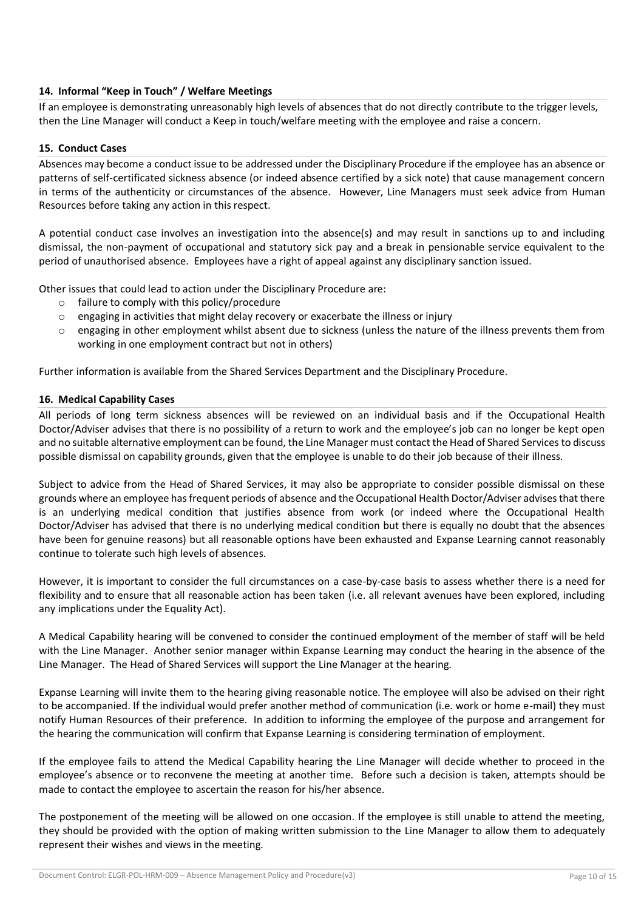# **14. Informal "Keep in Touch" / Welfare Meetings**

If an employee is demonstrating unreasonably high levels of absences that do not directly contribute to the trigger levels, then the Line Manager will conduct a Keep in touch/welfare meeting with the employee and raise a concern.

## **15. Conduct Cases**

Absences may become a conduct issue to be addressed under the Disciplinary Procedure if the employee has an absence or patterns of self-certificated sickness absence (or indeed absence certified by a sick note) that cause management concern in terms of the authenticity or circumstances of the absence. However, Line Managers must seek advice from Human Resources before taking any action in this respect.

A potential conduct case involves an investigation into the absence(s) and may result in sanctions up to and including dismissal, the non-payment of occupational and statutory sick pay and a break in pensionable service equivalent to the period of unauthorised absence. Employees have a right of appeal against any disciplinary sanction issued.

Other issues that could lead to action under the Disciplinary Procedure are:

- o failure to comply with this policy/procedure
- $\circ$  engaging in activities that might delay recovery or exacerbate the illness or injury
- $\circ$  engaging in other employment whilst absent due to sickness (unless the nature of the illness prevents them from working in one employment contract but not in others)

Further information is available from the Shared Services Department and the Disciplinary Procedure.

# **16. Medical Capability Cases**

All periods of long term sickness absences will be reviewed on an individual basis and if the Occupational Health Doctor/Adviser advises that there is no possibility of a return to work and the employee's job can no longer be kept open and no suitable alternative employment can be found, the Line Manager must contact the Head of Shared Services to discuss possible dismissal on capability grounds, given that the employee is unable to do their job because of their illness.

Subject to advice from the Head of Shared Services, it may also be appropriate to consider possible dismissal on these grounds where an employee has frequent periods of absence and the Occupational Health Doctor/Adviser advises that there is an underlying medical condition that justifies absence from work (or indeed where the Occupational Health Doctor/Adviser has advised that there is no underlying medical condition but there is equally no doubt that the absences have been for genuine reasons) but all reasonable options have been exhausted and Expanse Learning cannot reasonably continue to tolerate such high levels of absences.

However, it is important to consider the full circumstances on a case-by-case basis to assess whether there is a need for flexibility and to ensure that all reasonable action has been taken (i.e. all relevant avenues have been explored, including any implications under the Equality Act).

A Medical Capability hearing will be convened to consider the continued employment of the member of staff will be held with the Line Manager. Another senior manager within Expanse Learning may conduct the hearing in the absence of the Line Manager. The Head of Shared Services will support the Line Manager at the hearing.

Expanse Learning will invite them to the hearing giving reasonable notice. The employee will also be advised on their right to be accompanied. If the individual would prefer another method of communication (i.e. work or home e-mail) they must notify Human Resources of their preference. In addition to informing the employee of the purpose and arrangement for the hearing the communication will confirm that Expanse Learning is considering termination of employment.

If the employee fails to attend the Medical Capability hearing the Line Manager will decide whether to proceed in the employee's absence or to reconvene the meeting at another time. Before such a decision is taken, attempts should be made to contact the employee to ascertain the reason for his/her absence.

The postponement of the meeting will be allowed on one occasion. If the employee is still unable to attend the meeting, they should be provided with the option of making written submission to the Line Manager to allow them to adequately represent their wishes and views in the meeting.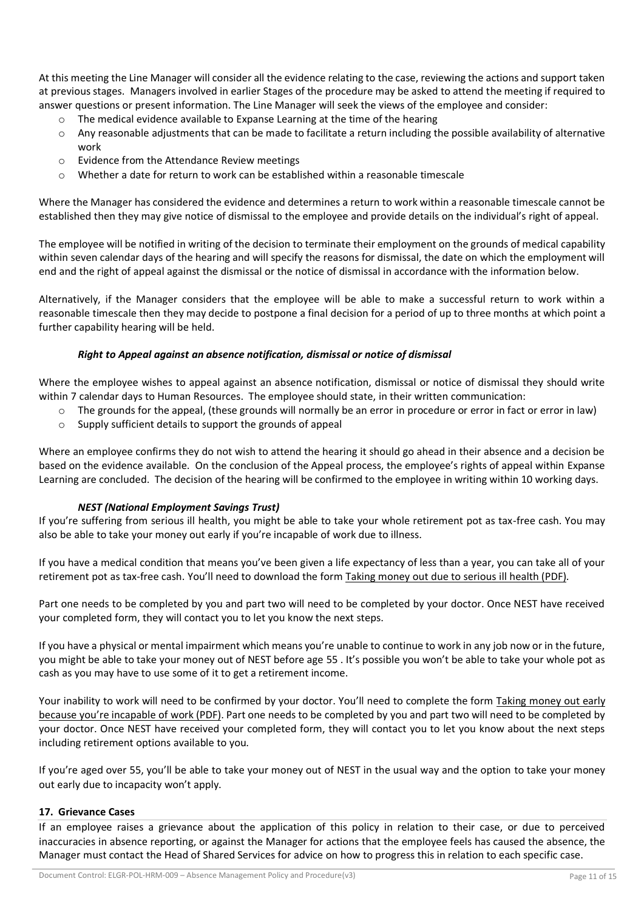At this meeting the Line Manager will consider all the evidence relating to the case, reviewing the actions and support taken at previous stages. Managers involved in earlier Stages of the procedure may be asked to attend the meeting if required to answer questions or present information. The Line Manager will seek the views of the employee and consider:

- o The medical evidence available to Expanse Learning at the time of the hearing
- $\circ$  Any reasonable adjustments that can be made to facilitate a return including the possible availability of alternative work
- o Evidence from the Attendance Review meetings
- $\circ$  Whether a date for return to work can be established within a reasonable timescale

Where the Manager has considered the evidence and determines a return to work within a reasonable timescale cannot be established then they may give notice of dismissal to the employee and provide details on the individual's right of appeal.

The employee will be notified in writing of the decision to terminate their employment on the grounds of medical capability within seven calendar days of the hearing and will specify the reasons for dismissal, the date on which the employment will end and the right of appeal against the dismissal or the notice of dismissal in accordance with the information below.

Alternatively, if the Manager considers that the employee will be able to make a successful return to work within a reasonable timescale then they may decide to postpone a final decision for a period of up to three months at which point a further capability hearing will be held.

## *Right to Appeal against an absence notification, dismissal or notice of dismissal*

Where the employee wishes to appeal against an absence notification, dismissal or notice of dismissal they should write within 7 calendar days to Human Resources. The employee should state, in their written communication:

- $\circ$  The grounds for the appeal, (these grounds will normally be an error in procedure or error in fact or error in law)
	- o Supply sufficient details to support the grounds of appeal

Where an employee confirms they do not wish to attend the hearing it should go ahead in their absence and a decision be based on the evidence available. On the conclusion of the Appeal process, the employee's rights of appeal within Expanse Learning are concluded. The decision of the hearing will be confirmed to the employee in writing within 10 working days.

# *NEST (National Employment Savings Trust)*

If you're suffering from serious ill health, you might be able to take your whole retirement pot as tax-free cash. You may also be able to take your money out early if you're incapable of work due to illness.

If you have a medical condition that means you've been given a life expectancy of less than a year, you can take all of your retirement pot as tax-free cash. You'll need to download the form Taking money out due to [serious](https://www.nestpensions.org.uk/schemeweb/dam/nestlibrary/NEST_Claim_Form_Seriously_Ill_Health.pdf) ill health (PDF).

Part one needs to be completed by you and part two will need to be completed by your doctor. Once NEST have received your completed form, they will contact you to let you know the next steps.

If you have a physical or mental impairment which means you're unable to continue to work in any job now or in the future, you might be able to take your money out of NEST before age 55 . It's possible you won't be able to take your whole pot as cash as you may have to use some of it to get a retirement income.

Your inability to work will need to be confirmed by your doctor. You'll need to complete the form Taking [money](https://www.nestpensions.org.uk/schemeweb/dam/nestlibrary/downloadforms/pdf/NEST_Claim_Form_Incapacity_Retirement.pdf) out early because you're [incapable](https://www.nestpensions.org.uk/schemeweb/dam/nestlibrary/downloadforms/pdf/NEST_Claim_Form_Incapacity_Retirement.pdf) of work (PDF). Part one needs to be completed by you and part two will need to be completed by your doctor. Once NEST have received your completed form, they will contact you to let you know about the next steps including retirement options available to you.

If you're aged over 55, you'll be able to take your money out of NEST in the usual way and the option to take your money out early due to incapacity won't apply.

#### **17. Grievance Cases**

If an employee raises a grievance about the application of this policy in relation to their case, or due to perceived inaccuracies in absence reporting, or against the Manager for actions that the employee feels has caused the absence, the Manager must contact the Head of Shared Services for advice on how to progress this in relation to each specific case.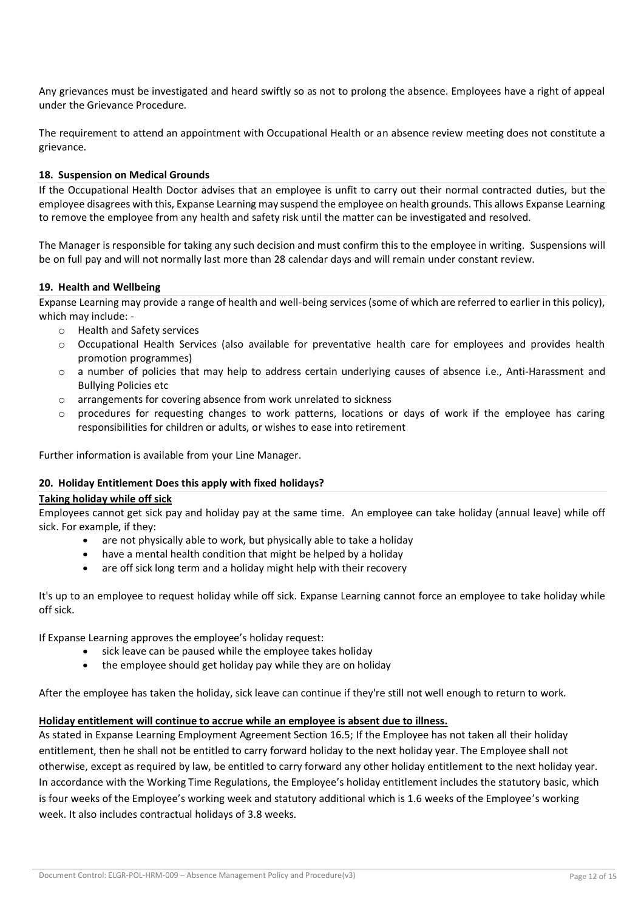Any grievances must be investigated and heard swiftly so as not to prolong the absence. Employees have a right of appeal under the Grievance Procedure.

The requirement to attend an appointment with Occupational Health or an absence review meeting does not constitute a grievance.

## **18. Suspension on Medical Grounds**

If the Occupational Health Doctor advises that an employee is unfit to carry out their normal contracted duties, but the employee disagrees with this, Expanse Learning may suspend the employee on health grounds. This allows Expanse Learning to remove the employee from any health and safety risk until the matter can be investigated and resolved.

The Manager is responsible for taking any such decision and must confirm this to the employee in writing. Suspensions will be on full pay and will not normally last more than 28 calendar days and will remain under constant review.

#### **19. Health and Wellbeing**

Expanse Learning may provide a range of health and well-being services (some of which are referred to earlier in this policy), which may include: -

- o Health and Safety services
- o Occupational Health Services (also available for preventative health care for employees and provides health promotion programmes)
- o a number of policies that may help to address certain underlying causes of absence i.e., Anti-Harassment and Bullying Policies etc
- o arrangements for covering absence from work unrelated to sickness
- o procedures for requesting changes to work patterns, locations or days of work if the employee has caring responsibilities for children or adults, or wishes to ease into retirement

Further information is available from your Line Manager.

#### **20. Holiday Entitlement Does this apply with fixed holidays?**

#### **Taking holiday while off sick**

Employees cannot get sick pay and holiday pay at the same time. An employee can take holiday (annual leave) while off sick. For example, if they:

- are not physically able to work, but physically able to take a holiday
- have a mental health condition that might be helped by a holiday
- are off sick long term and a holiday might help with their recovery

It's up to an employee to request holiday while off sick. Expanse Learning cannot force an employee to take holiday while off sick.

If Expanse Learning approves the employee's holiday request:

- sick leave can be paused while the employee takes holiday
- the employee should get holiday pay while they are on holiday

After the employee has taken the holiday, sick leave can continue if they're still not well enough to return to work.

#### **Holiday entitlement will continue to accrue while an employee is absent due to illness.**

As stated in Expanse Learning Employment Agreement Section 16.5; If the Employee has not taken all their holiday entitlement, then he shall not be entitled to carry forward holiday to the next holiday year. The Employee shall not otherwise, except as required by law, be entitled to carry forward any other holiday entitlement to the next holiday year. In accordance with the Working Time Regulations, the Employee's holiday entitlement includes the statutory basic, which is four weeks of the Employee's working week and statutory additional which is 1.6 weeks of the Employee's working week. It also includes contractual holidays of 3.8 weeks.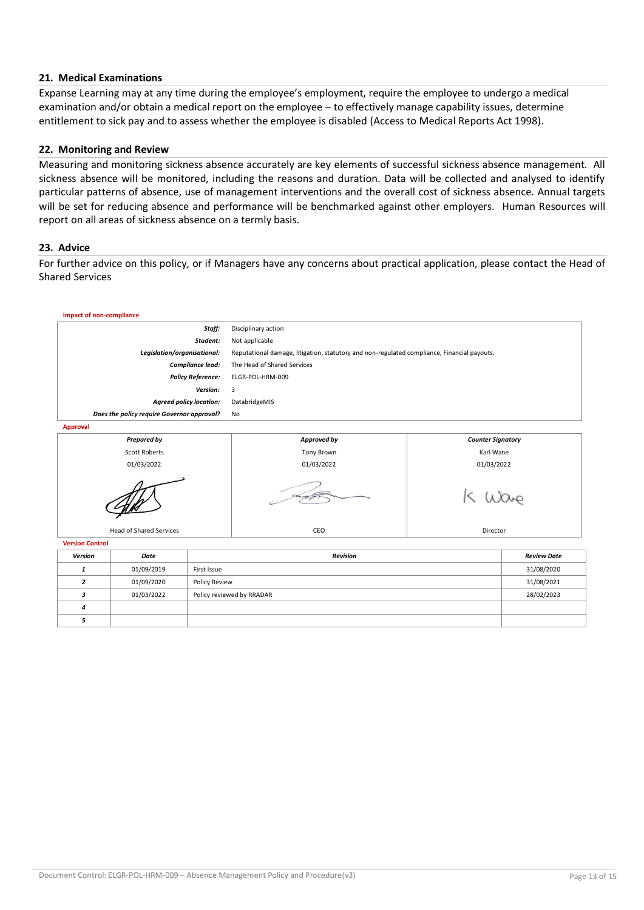## **21. Medical Examinations**

Expanse Learning may at any time during the employee's employment, require the employee to undergo a medical examination and/or obtain a medical report on the employee – to effectively manage capability issues, determine entitlement to sick pay and to assess whether the employee is disabled (Access to Medical Reports Act 1998).

#### **22. Monitoring and Review**

Measuring and monitoring sickness absence accurately are key elements of successful sickness absence management. All sickness absence will be monitored, including the reasons and duration. Data will be collected and analysed to identify particular patterns of absence, use of management interventions and the overall cost of sickness absence. Annual targets will be set for reducing absence and performance will be benchmarked against other employers. Human Resources will report on all areas of sickness absence on a termly basis.

#### **23. Advice**

For further advice on this policy, or if Managers have any concerns about practical application, please contact the Head of Shared Services

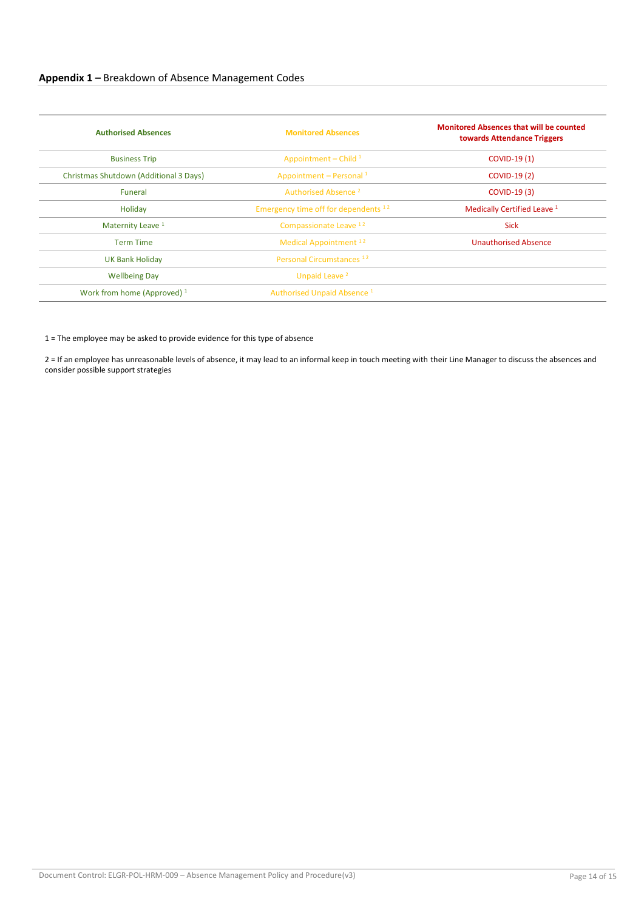| <b>Authorised Absences</b>             | <b>Monitored Absences</b>                       | <b>Monitored Absences that will be counted</b><br>towards Attendance Triggers |  |
|----------------------------------------|-------------------------------------------------|-------------------------------------------------------------------------------|--|
| <b>Business Trip</b>                   | Appointment – Child $1$                         | COVID-19 (1)                                                                  |  |
| Christmas Shutdown (Additional 3 Days) | Appointment - Personal $1$                      | <b>COVID-19 (2)</b>                                                           |  |
| Funeral                                | Authorised Absence <sup>2</sup>                 | <b>COVID-19 (3)</b>                                                           |  |
| Holiday                                | Emergency time off for dependents <sup>12</sup> | Medically Certified Leave <sup>1</sup>                                        |  |
| Maternity Leave <sup>1</sup>           | Compassionate Leave 12                          | <b>Sick</b>                                                                   |  |
| <b>Term Time</b>                       | Medical Appointment <sup>12</sup>               | <b>Unauthorised Absence</b>                                                   |  |
| <b>UK Bank Holiday</b>                 | Personal Circumstances <sup>12</sup>            |                                                                               |  |
| <b>Wellbeing Day</b>                   | Unpaid Leave <sup>2</sup>                       |                                                                               |  |
| Work from home (Approved) <sup>1</sup> | Authorised Unpaid Absence <sup>1</sup>          |                                                                               |  |

1 = The employee may be asked to provide evidence for this type of absence

2 = If an employee has unreasonable levels of absence, it may lead to an informal keep in touch meeting with their Line Manager to discuss the absences and consider possible support strategies